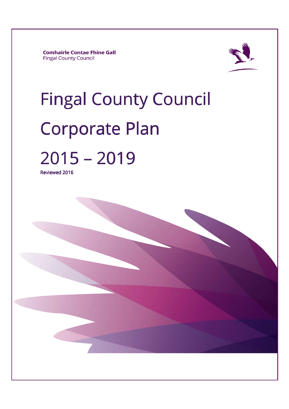**Comhairle Contae Fhine Gall Fingal County Council** 



# **Fingal County Council** Corporate Plan 2015–2019

Reviewed 2016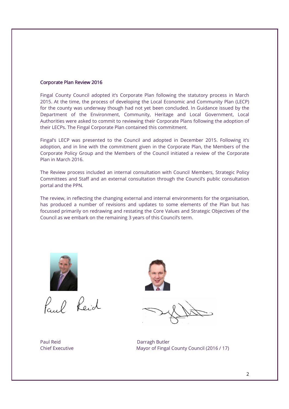## Corporate Plan Review 2016

Fingal County Council adopted it's Corporate Plan following the statutory process in March 2015. At the time, the process of developing the Local Economic and Community Plan (LECP) for the county was underway though had not yet been concluded. In Guidance issued by the Department of the Environment, Community, Heritage and Local Government, Local Authorities were asked to commit to reviewing their Corporate Plans following the adoption of their LECPs. The Fingal Corporate Plan contained this commitment.

Fingal's LECP was presented to the Council and adopted in December 2015. Following it's adoption, and in line with the commitment given in the Corporate Plan, the Members of the Corporate Policy Group and the Members of the Council initiated a review of the Corporate Plan in March 2016.

The Review process included an internal consultation with Council Members, Strategic Policy Committees and Staff and an external consultation through the Council's public consultation portal and the PPN.

The review, in reflecting the changing external and internal environments for the organisation, has produced a number of revisions and updates to some elements of the Plan but has focussed primarily on redrawing and restating the Core Values and Strategic Objectives of the Council as we embark on the remaining 3 years of this Council's term.



Paul Reid

Paul Reid Darragh Butler



Chief Executive Mayor of Fingal County Council (2016 / 17)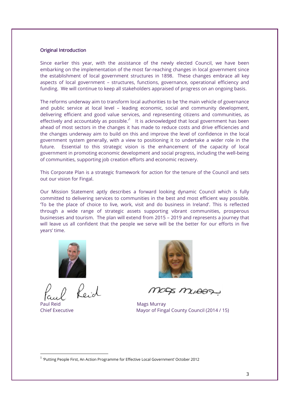## **Original Introduction**

Since earlier this year, with the assistance of the newly elected Council, we have been embarking on the implementation of the most far-reaching changes in local government since the establishment of local government structures in 1898. These changes embrace all key aspects of local government – structures, functions, governance, operational efficiency and funding. We will continue to keep all stakeholders appraised of progress on an ongoing basis.

The reforms underway aim to transform local authorities to be 'the main vehicle of governance and public service at local level – leading economic, social and community development, delivering efficient and good value services, and representing citizens and communities, as effectively and accountably as possible. $i^1$  It is acknowledged that local government has been ahead of most sectors in the changes it has made to reduce costs and drive efficiencies and the changes underway aim to build on this and improve the level of confidence in the local government system generally, with a view to positioning it to undertake a wider role in the future. Essential to this strategic vision is the enhancement of the capacity of local government in promoting economic development and social progress, including the well-being of communities, supporting job creation efforts and economic recovery.

This Corporate Plan is a strategic framework for action for the tenure of the Council and sets out our vision for Fingal.

Our Mission Statement aptly describes a forward looking dynamic Council which is fully committed to delivering services to communities in the best and most efficient way possible. 'To be the place of choice to live, work, visit and do business in Ireland'. This is reflected through a wide range of strategic assets supporting vibrant communities, prosperous businesses and tourism. The plan will extend from 2015 – 2019 and represents a journey that will leave us all confident that the people we serve will be the better for our efforts in five years' time.



 $\rho_{\rm cl}$ 

Paul Reid Mags Murray

-



MODS MUAAD

Chief Executive Mayor of Fingal County Council (2014 / 15)

<sup>&</sup>lt;sup>1</sup> 'Putting People First, An Action Programme for Effective Local Government' October 2012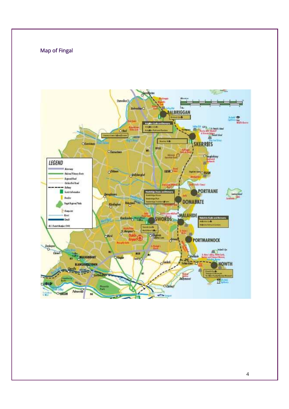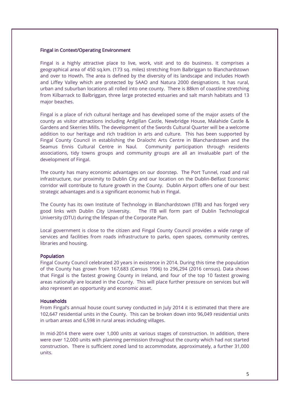## Fingal in Context/Operating Environment

Fingal is a highly attractive place to live, work, visit and to do business. It comprises a geographical area of 450 sq.km. (173 sq. miles) stretching from Balbriggan to Blanchardstown and over to Howth. The area is defined by the diversity of its landscape and includes Howth and Liffey Valley which are protected by SAAO and Natura 2000 designations. It has rural, urban and suburban locations all rolled into one county. There is 88km of coastline stretching from Kilbarrack to Balbriggan, three large protected estuaries and salt marsh habitats and 13 major beaches.

Fingal is a place of rich cultural heritage and has developed some of the major assets of the county as visitor attractions including Ardgillan Castle, Newbridge House, Malahide Castle & Gardens and Skerries Mills. The development of the Swords Cultural Quarter will be a welcome addition to our heritage and rich tradition in arts and culture. This has been supported by Fingal County Council in establishing the Draíocht Arts Centre in Blanchardstown and the Seamus Ennis Cultural Centre in Naul. Community participation through residents associations, tidy towns groups and community groups are all an invaluable part of the development of Fingal.

The county has many economic advantages on our doorstep. The Port Tunnel, road and rail infrastructure, our proximity to Dublin City and our location on the Dublin-Belfast Economic corridor will contribute to future growth in the County. Dublin Airport offers one of our best strategic advantages and is a significant economic hub in Fingal.

The County has its own Institute of Technology in Blanchardstown (ITB) and has forged very good links with Dublin City University. The ITB will form part of Dublin Technological University (DTU) during the lifespan of the Corporate Plan.

Local government is close to the citizen and Fingal County Council provides a wide range of services and facilities from roads infrastructure to parks, open spaces, community centres, libraries and housing.

### **Population**

Fingal County Council celebrated 20 years in existence in 2014. During this time the population of the County has grown from 167,683 (Census 1996) to 296,294 (2016 census). Data shows that Fingal is the fastest growing County in Ireland, and four of the top 10 fastest growing areas nationally are located in the County. This will place further pressure on services but will also represent an opportunity and economic asset.

### **Households**

From Fingal's annual house count survey conducted in July 2014 it is estimated that there are 102,647 residential units in the County. This can be broken down into 96,049 residential units in urban areas and 6,598 in rural areas including villages.

In mid-2014 there were over 1,000 units at various stages of construction. In addition, there were over 12,000 units with planning permission throughout the county which had not started construction. There is sufficient zoned land to accommodate, approximately, a further 31,000 units.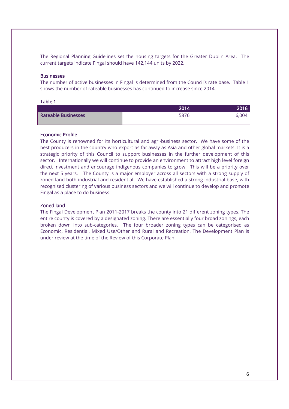The Regional Planning Guidelines set the housing targets for the Greater Dublin Area. The current targets indicate Fingal should have 142,144 units by 2022.

### **Businesses**

The number of active businesses in Fingal is determined from the Council's rate base. Table 1 shows the number of rateable businesses has continued to increase since 2014.

### Table 1

|                            | 2014 | 2016' |
|----------------------------|------|-------|
| <b>Rateable Businesses</b> | 5876 | 6.004 |

#### **Economic Profile**

The County is renowned for its horticultural and agri-business sector. We have some of the best producers in the country who export as far away as Asia and other global markets. It is a strategic priority of this Council to support businesses in the further development of this sector. Internationally we will continue to provide an environment to attract high level foreign direct investment and encourage indigenous companies to grow. This will be a priority over the next 5 years. The County is a major employer across all sectors with a strong supply of zoned land both industrial and residential. We have established a strong industrial base, with recognised clustering of various business sectors and we will continue to develop and promote Fingal as a place to do business.

#### Zoned land

The Fingal Development Plan 2011-2017 breaks the county into 21 different zoning types. The entire county is covered by a designated zoning. There are essentially four broad zonings, each broken down into sub-categories. The four broader zoning types can be categorised as Economic, Residential, Mixed Use/Other and Rural and Recreation. The Development Plan is under review at the time of the Review of this Corporate Plan.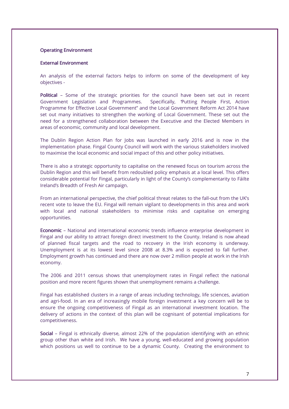## **Operating Environment**

### External Environment

An analysis of the external factors helps to inform on some of the development of key objectives -

Political – Some of the strategic priorities for the council have been set out in recent Government Legislation and Programmes. Specifically, "Putting People First, Action Programme for Effective Local Government" and the Local Government Reform Act 2014 have set out many initiatives to strengthen the working of Local Government. These set out the need for a strengthened collaboration between the Executive and the Elected Members in areas of economic, community and local development.

The Dublin Region Action Plan for Jobs was launched in early 2016 and is now in the implementation phase. Fingal County Council will work with the various stakeholders involved to maximise the local economic and social impact of this and other policy initiatives.

There is also a strategic opportunity to capitalise on the renewed focus on tourism across the Dublin Region and this will benefit from redoubled policy emphasis at a local level. This offers considerable potential for Fingal, particularly in light of the County's complementarity to Fáilte Ireland's Breadth of Fresh Air campaign.

From an international perspective, the chief political threat relates to the fall-out from the UK's recent vote to leave the EU. Fingal will remain vigilant to developments in this area and work with local and national stakeholders to minimise risks and capitalise on emerging opportunities.

Economic – National and international economic trends influence enterprise development in Fingal and our ability to attract foreign direct investment to the County. Ireland is now ahead of planned fiscal targets and the road to recovery in the Irish economy is underway. Unemployment is at its lowest level since 2008 at 8.3% and is expected to fall further. Employment growth has continued and there are now over 2 million people at work in the Irish economy.

The 2006 and 2011 census shows that unemployment rates in Fingal reflect the national position and more recent figures shown that unemployment remains a challenge.

Fingal has established clusters in a range of areas including technology, life sciences, aviation and agri-food. In an era of increasingly mobile foreign investment a key concern will be to ensure the ongoing competitiveness of Fingal as an international investment location. The delivery of actions in the context of this plan will be cognisant of potential implications for competitiveness.

Social - Fingal is ethnically diverse, almost 22% of the population identifying with an ethnic group other than white and Irish. We have a young, well-educated and growing population which positions us well to continue to be a dynamic County. Creating the environment to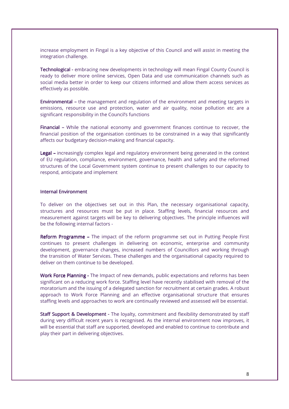increase employment in Fingal is a key objective of this Council and will assist in meeting the integration challenge.

Technological - embracing new developments in technology will mean Fingal County Council is ready to deliver more online services, Open Data and use communication channels such as social media better in order to keep our citizens informed and allow them access services as effectively as possible.

Environmental – the management and regulation of the environment and meeting targets in emissions, resource use and protection, water and air quality, noise pollution etc are a significant responsibility in the Council's functions

Financial – While the national economy and government finances continue to recover, the financial position of the organisation continues to be constrained in a way that significantly affects our budgetary decision-making and financial capacity.

**Legal –** increasingly complex legal and regulatory environment being generated in the context of EU regulation, compliance, environment, governance, health and safety and the reformed structures of the Local Government system continue to present challenges to our capacity to respond, anticipate and implement

## Internal Environment

To deliver on the objectives set out in this Plan, the necessary organisational capacity, structures and resources must be put in place. Staffing levels, financial resources and measurement against targets will be key to delivering objectives. The principle influences will be the following internal factors -

**Reform Programme –** The impact of the reform programme set out in Putting People First continues to present challenges in delivering on economic, enterprise and community development, governance changes, increased numbers of Councillors and working through the transition of Water Services. These challenges and the organisational capacity required to deliver on them continue to be developed.

Work Force Planning - The Impact of new demands, public expectations and reforms has been significant on a reducing work force. Staffing level have recently stabilised with removal of the moratorium and the issuing of a delegated sanction for recruitment at certain grades. A robust approach to Work Force Planning and an effective organisational structure that ensures staffing levels and approaches to work are continually reviewed and assessed will be essential.

Staff Support & Development - The loyalty, commitment and flexibility demonstrated by staff during very difficult recent years is recognised. As the internal environment now improves, it will be essential that staff are supported, developed and enabled to continue to contribute and play their part in delivering objectives.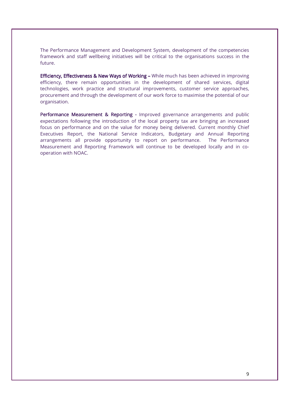The Performance Management and Development System, development of the competencies framework and staff wellbeing initiatives will be critical to the organisations success in the future.

Efficiency, Effectiveness & New Ways of Working - While much has been achieved in improving efficiency, there remain opportunities in the development of shared services, digital technologies, work practice and structural improvements, customer service approaches, procurement and through the development of our work force to maximise the potential of our organisation.

Performance Measurement & Reporting - Improved governance arrangements and public expectations following the introduction of the local property tax are bringing an increased focus on performance and on the value for money being delivered. Current monthly Chief Executives Report, the National Service Indicators, Budgetary and Annual Reporting arrangements all provide opportunity to report on performance. The Performance Measurement and Reporting Framework will continue to be developed locally and in cooperation with NOAC.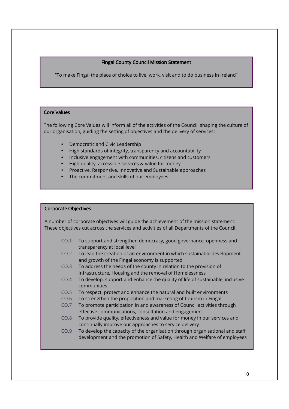## Fingal County Council Mission Statement

"To make Fingal the place of choice to live, work, visit and to do business in Ireland"

## Core Values

Ī I I I Ļ

Ē I I I I I I I I I I I

I I I I I I I I I The following Core Values will inform all of the activities of the Council, shaping the culture of our organisation, guiding the setting of objectives and the delivery of services:

- Democratic and Civic Leadership
- High standards of integrity, transparency and accountability
- Inclusive engagement with communities, citizens and customers
- High quality, accessible services & value for money
- Proactive, Responsive, Innovative and Sustainable approaches
- The commitment and skills of our employees

### Corporate Objectives

A number of corporate objectives will guide the achievement of the mission statement. These objectives cut across the services and activities of all Departments of the Council.

- CO.1 To support and strengthen democracy, good governance, openness and transparency at local level
- CO.2 To lead the creation of an environment in which sustainable development and growth of the Fingal economy is supported
- CO.3 To address the needs of the county in relation to the provision of Infrastructure, Housing and the removal of Homelessness
- CO.4 To develop, support and enhance the quality of life of sustainable, inclusive communities
- CO.5 To respect, protect and enhance the natural and built environments
- CO.6 To strengthen the proposition and marketing of tourism in Fingal
- CO.7 To promote participation in and awareness of Council activities through effective communications, consultation and engagement
- CO.8 To provide quality, effectiveness and value for money in our services and continually improve our approaches to service delivery
- CO.9 To develop the capacity of the organisation through organisational and staff development and the promotion of Safety, Health and Welfare of employees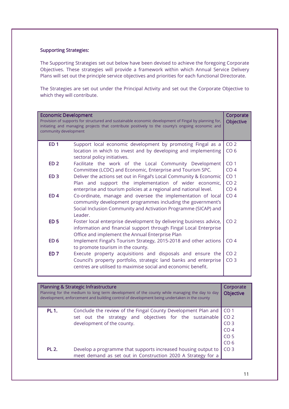## **Supporting Strategies:**

The Supporting Strategies set out below have been devised to achieve the foregoing Corporate Objectives. These strategies will provide a framework within which Annual Service Delivery Plans will set out the principle service objectives and priorities for each functional Directorate.

The Strategies are set out under the Principal Activity and set out the Corporate Objective to which they will contribute.

| <b>Economic Development</b><br>Provision of supports for structured and sustainable economic development of Fingal by planning for,<br>initiating and managing projects that contribute positively to the county's ongoing economic and<br>community development |                                                                                                | Corporate<br><b>Objective</b> |
|------------------------------------------------------------------------------------------------------------------------------------------------------------------------------------------------------------------------------------------------------------------|------------------------------------------------------------------------------------------------|-------------------------------|
| ED <sub>1</sub>                                                                                                                                                                                                                                                  | Support local economic development by promoting Fingal as a                                    | CO <sub>2</sub>               |
|                                                                                                                                                                                                                                                                  | location in which to invest and by developing and implementing<br>sectoral policy initiatives. | CO <sub>6</sub>               |
| FD <sub>2</sub>                                                                                                                                                                                                                                                  | Facilitate the work of the Local Community Development                                         | CO <sub>1</sub>               |
|                                                                                                                                                                                                                                                                  | Committee (LCDC) and Economic, Enterprise and Tourism SPC.                                     | CO <sub>4</sub>               |
| ED <sub>3</sub>                                                                                                                                                                                                                                                  | Deliver the actions set out in Fingal's Local Community & Economic                             | CO <sub>1</sub>               |
|                                                                                                                                                                                                                                                                  | Plan and support the implementation of wider economic,                                         | CO <sub>2</sub>               |
|                                                                                                                                                                                                                                                                  | enterprise and tourism policies at a regional and national level.                              | CO <sub>4</sub>               |
| ED <sub>4</sub>                                                                                                                                                                                                                                                  | Co-ordinate, manage and oversee the implementation of local                                    | CO <sub>4</sub>               |
|                                                                                                                                                                                                                                                                  | community development programmes including the government's                                    |                               |
|                                                                                                                                                                                                                                                                  | Social Inclusion Community and Activation Programme (SICAP) and<br>Leader.                     |                               |
| <b>ED 5</b>                                                                                                                                                                                                                                                      | Foster local enterprise development by delivering business advice,                             | CO <sub>2</sub>               |
|                                                                                                                                                                                                                                                                  | information and financial support through Fingal Local Enterprise                              |                               |
|                                                                                                                                                                                                                                                                  | Office and implement the Annual Enterprise Plan                                                |                               |
| ED <sub>6</sub>                                                                                                                                                                                                                                                  | Implement Fingal's Tourism Strategy, 2015-2018 and other actions                               | CO <sub>4</sub>               |
|                                                                                                                                                                                                                                                                  | to promote tourism in the county.                                                              |                               |
| FD <sub>7</sub>                                                                                                                                                                                                                                                  | Execute property acquisitions and disposals and ensure the                                     | CO <sub>2</sub>               |
|                                                                                                                                                                                                                                                                  | Council's property portfolio, strategic land banks and enterprise                              | CO <sub>3</sub>               |
|                                                                                                                                                                                                                                                                  | centres are utilised to maximise social and economic benefit.                                  |                               |
|                                                                                                                                                                                                                                                                  |                                                                                                |                               |

|              | <b>Planning &amp; Strategic Infrastructure</b><br>Planning for the medium to long term development of the county while managing the day to day<br>development, enforcement and building control of development being undertaken in the county | Corporate<br><b>Objective</b> |
|--------------|-----------------------------------------------------------------------------------------------------------------------------------------------------------------------------------------------------------------------------------------------|-------------------------------|
| <b>PL 1.</b> | Conclude the review of the Fingal County Development Plan and                                                                                                                                                                                 | $\overline{C}$ CO 1           |
|              | set out the strategy and objectives for the sustainable                                                                                                                                                                                       | CO <sub>2</sub>               |
|              | development of the county.                                                                                                                                                                                                                    | CO <sub>3</sub>               |
|              |                                                                                                                                                                                                                                               | CO <sub>4</sub>               |
|              |                                                                                                                                                                                                                                               | CO <sub>5</sub>               |
|              |                                                                                                                                                                                                                                               | CO <sub>6</sub>               |
| <b>PL 2.</b> | Develop a programme that supports increased housing output to                                                                                                                                                                                 | CO <sub>3</sub>               |
|              | meet demand as set out in Construction 2020 A Strategy for a                                                                                                                                                                                  |                               |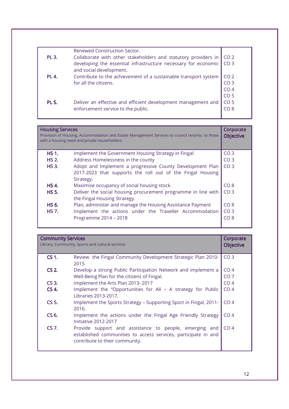|              | Renewed Construction Sector.                                    |                 |
|--------------|-----------------------------------------------------------------|-----------------|
| <b>PL 3.</b> | Collaborate with other stakeholders and statutory providers in  | CO <sub>2</sub> |
|              | developing the essential infrastructure necessary for economic  | CO <sub>3</sub> |
|              | and social development.                                         |                 |
| <b>PL 4.</b> | Contribute to the achievement of a sustainable transport system | CO <sub>2</sub> |
|              | for all the citizens.                                           | CO <sub>3</sub> |
|              |                                                                 | CO <sub>4</sub> |
|              |                                                                 | CO <sub>5</sub> |
| <b>PL 5.</b> | Deliver an effective and efficient development management and   | CO <sub>5</sub> |
|              | enforcement service to the public.                              | CO 8            |
|              |                                                                 |                 |

| <b>Housing Services</b> | Provision of Housing, Accommodation and Estate Management Services to council tenants, to those<br>with a housing need and private householders | Corporate<br><b>Objective</b> |
|-------------------------|-------------------------------------------------------------------------------------------------------------------------------------------------|-------------------------------|
| <b>HS 1.</b>            | Implement the Government Housing Strategy in Fingal                                                                                             | CO <sub>3</sub>               |
| <b>HS 2.</b>            | Address Homelessness in the county                                                                                                              | CO <sub>3</sub>               |
| <b>HS 3.</b>            | Adopt and Implement a progressive County Development Plan<br>2017-2023 that supports the roll out of the Fingal Housing<br>Strategy.            | CO <sub>3</sub>               |
| <b>HS 4.</b>            | Maximise occupancy of social housing stock.                                                                                                     | CO 8                          |
| <b>HS 5.</b>            | Deliver the social housing procurement programme in line with<br>the Fingal Housing Strategy.                                                   | CO <sub>3</sub>               |
| HS 6.                   | Plan, administer and manage the Housing Assistance Payment                                                                                      | CO <sub>8</sub>               |
| <b>HS 7.</b>            | Implement the actions under the Traveller Accommodation                                                                                         | CO <sub>3</sub>               |
|                         | Programme 2014 - 2018                                                                                                                           | CO 8                          |

| <b>Community Services</b><br>Library, Community, Sports and cultural services |                                                                                                                                                            | Corporate<br><b>Objective</b> |
|-------------------------------------------------------------------------------|------------------------------------------------------------------------------------------------------------------------------------------------------------|-------------------------------|
| <b>CS 1.</b>                                                                  | Review the Fingal Community Development Strategic Plan 2010-<br>2015                                                                                       | CO <sub>3</sub>               |
| $CS2$ .                                                                       | Develop a strong Public Participation Network and implement a                                                                                              | CO <sub>4</sub>               |
|                                                                               | Well-Being Plan for the citizens of Fingal.                                                                                                                | CO <sub>7</sub>               |
| CS <sub>3</sub>                                                               | Implement the Arts Plan 2013-2017                                                                                                                          | CO <sub>4</sub>               |
| CS 4.                                                                         | Implement the "Opportunities for All - A strategy for Public<br>Libraries 2013-2017.                                                                       | CO <sub>4</sub>               |
| CS 5.                                                                         | Implement the Sports Strategy - Supporting Sport in Fingal, 2011-<br>2016.                                                                                 | CO <sub>4</sub>               |
| CS 6.                                                                         | Implement the actions under the Fingal Age Friendly Strategy<br>Initiative 2012-2017                                                                       | CO <sub>4</sub>               |
| CS 7.                                                                         | Provide support and assistance to people, emerging and<br>established communities to access services, participate in and<br>contribute to their community. | CO <sub>4</sub>               |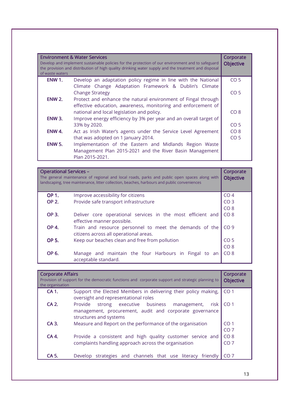| <b>Environment &amp; Water Services</b><br>Develop and implement sustainable policies for the protection of our environment and to safeguard<br>the provision and distribution of high quality drinking water supply and the treatment and disposal<br>of waste waters |                                                                                                                         | Corporate<br><b>Objective</b> |
|------------------------------------------------------------------------------------------------------------------------------------------------------------------------------------------------------------------------------------------------------------------------|-------------------------------------------------------------------------------------------------------------------------|-------------------------------|
| <b>ENW 1.</b>                                                                                                                                                                                                                                                          | Develop an adaptation policy regime in line with the National<br>Climate Change Adaptation Framework & Dublin's Climate | CO <sub>5</sub>               |
|                                                                                                                                                                                                                                                                        | <b>Change Strategy</b>                                                                                                  | CO <sub>5</sub>               |
| <b>ENW 2.</b>                                                                                                                                                                                                                                                          | Protect and enhance the natural environment of Fingal through                                                           |                               |
|                                                                                                                                                                                                                                                                        | effective education, awareness, monitoring and enforcement of<br>national and local legislation and policy.             | CO <sub>8</sub>               |
| <b>ENW 3.</b>                                                                                                                                                                                                                                                          | Improve energy efficiency by 3% per year and an overall target of                                                       |                               |
|                                                                                                                                                                                                                                                                        | 33% by 2020.                                                                                                            | CO <sub>5</sub>               |
| ENW 4.                                                                                                                                                                                                                                                                 | Act as Irish Water's agents under the Service Level Agreement                                                           | CO <sub>8</sub>               |
|                                                                                                                                                                                                                                                                        | that was adopted on 1 January 2014.                                                                                     | CO <sub>5</sub>               |
| <b>ENW 5.</b>                                                                                                                                                                                                                                                          | Implementation of the Eastern and Midlands Region Waste                                                                 |                               |
|                                                                                                                                                                                                                                                                        | Management Plan 2015-2021 and the River Basin Management                                                                |                               |
|                                                                                                                                                                                                                                                                        | Plan 2015-2021.                                                                                                         |                               |

| <b>Operational Services -</b><br>The general maintenance of regional and local roads, parks and public open spaces along with<br>landscaping, tree maintenance, litter collection, beaches, harbours and public conveniences |                                                                                                   | Corporate<br><b>Objective</b> |
|------------------------------------------------------------------------------------------------------------------------------------------------------------------------------------------------------------------------------|---------------------------------------------------------------------------------------------------|-------------------------------|
| <b>OP 1.</b>                                                                                                                                                                                                                 | Improve accessibility for citizens                                                                | CO <sub>4</sub>               |
| <b>OP 2.</b>                                                                                                                                                                                                                 | Provide safe transport infrastructure                                                             | CO <sub>3</sub>               |
|                                                                                                                                                                                                                              |                                                                                                   | CO <sub>8</sub>               |
| <b>OP 3.</b>                                                                                                                                                                                                                 | Deliver core operational services in the most efficient and<br>effective manner possible.         | CO <sub>8</sub>               |
| <b>OP 4.</b>                                                                                                                                                                                                                 | Train and resource personnel to meet the demands of the<br>citizens across all operational areas. | CO <sub>9</sub>               |
| <b>OP 5.</b>                                                                                                                                                                                                                 | Keep our beaches clean and free from pollution                                                    | CO <sub>5</sub>               |
|                                                                                                                                                                                                                              |                                                                                                   | CO 8                          |
| OP 6.                                                                                                                                                                                                                        | Manage and maintain the four Harbours in Fingal<br>to an<br>acceptable standard.                  | CO <sub>8</sub>               |

| <b>Corporate Affairs</b><br>Provision of support for the democratic functions and corporate support and strategic planning to<br>the organisation |                                                                                                                                                  | Corporate<br><b>Objective</b> |
|---------------------------------------------------------------------------------------------------------------------------------------------------|--------------------------------------------------------------------------------------------------------------------------------------------------|-------------------------------|
| CA 1.                                                                                                                                             | Support the Elected Members in delivering their policy making,<br>oversight and representational roles                                           | CO <sub>1</sub>               |
| CA 2.                                                                                                                                             | strong executive business<br>Provide<br>management,<br>risk<br>management, procurement, audit and corporate governance<br>structures and systems | CO <sub>1</sub>               |
| CA 3.                                                                                                                                             | Measure and Report on the performance of the organisation                                                                                        | CO <sub>1</sub><br>CO 7       |
| CA 4.                                                                                                                                             | Provide a consistent and high quality customer service and<br>complaints handling approach across the organisation                               | CO <sub>8</sub><br>CO 7       |
| CA 5                                                                                                                                              | Develop strategies and channels that use literacy<br>friendly                                                                                    |                               |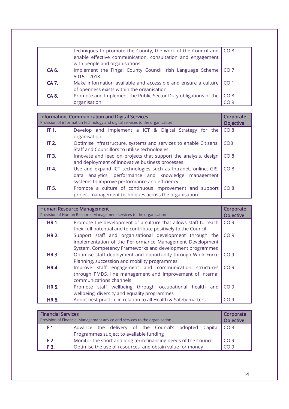|              | techniques to promote the County, the work of the Council and $\vert$ CO 8 |                 |
|--------------|----------------------------------------------------------------------------|-----------------|
|              | enable effective communication, consultation and engagement                |                 |
|              | with people and organisations                                              |                 |
| CA 6.        | Implement the Fingal County Council Irish Language Scheme                  | CO <sub>7</sub> |
|              | $5015 - 2018$                                                              |                 |
| <b>CA 7.</b> | Make information available and accessible and ensure a culture             | CO <sub>1</sub> |
|              | of openness exists within the organisation                                 |                 |
| CA 8.        | Promote and Implement the Public Sector Duty obligations of the            | CO <sub>8</sub> |
|              | organisation                                                               | CO 9            |

|              | <b>Information, Communication and Digital Services</b><br>Provision of information technology and digital services to the organisation                                  | Corporate<br><b>Objective</b> |
|--------------|-------------------------------------------------------------------------------------------------------------------------------------------------------------------------|-------------------------------|
| IT 1.        | Develop and Implement a ICT & Digital Strategy for the<br>organisation                                                                                                  | CO <sub>8</sub>               |
| <b>IT 2.</b> | Optimise infrastructure, systems and services to enable Citizens,<br>Staff and Councillors to utilise technologies.                                                     | CO <sub>8</sub>               |
| IT 3.        | Innovate and lead on projects that support the analysis, design<br>and deployment of innovative business processes                                                      | CO <sub>8</sub>               |
| IT 4.        | Use and expand ICT technologies such as Intranet, online, GIS,<br>data analytics, performance and knowledge management<br>systems to improve performance and efficiency | CO <sub>8</sub>               |
| IT 5.        | Promote a culture of continuous improvement and support<br>project management techniques across the organisation                                                        | CO <sub>8</sub>               |

| <b>Human Resource Management</b><br>Provision of Human Resource Management services to the organisation |                                                                  | Corporate<br><b>Objective</b> |
|---------------------------------------------------------------------------------------------------------|------------------------------------------------------------------|-------------------------------|
| <b>HR1.</b>                                                                                             | Promote the development of a culture that allows staff to reach  | CO <sub>9</sub>               |
|                                                                                                         | their full potential and to contribute positively to the Council |                               |
| <b>HR 2.</b>                                                                                            | Support staff and organisational development through the         | CO <sub>9</sub>               |
|                                                                                                         | implementation of the Performance Management Development         |                               |
|                                                                                                         | System, Competency Frameworks and development programmes         |                               |
| <b>HR3.</b>                                                                                             | Optimise staff deployment and opportunity through Work Force     | CO <sub>9</sub>               |
|                                                                                                         | Planning, succession and mobility programmes                     |                               |
| <b>HR4.</b>                                                                                             | Improve staff engagement and communication structures            | CO <sub>9</sub>               |
|                                                                                                         | through PMDS, line management and improvement of internal        |                               |
|                                                                                                         | communications channels                                          |                               |
| <b>HR 5.</b>                                                                                            | Promote staff wellbeing through occupational health and          | CO <sub>9</sub>               |
|                                                                                                         | wellbeing, diversity and equality programmes                     |                               |
| HR 6.                                                                                                   | Adopt best practice in relation to all Health & Safety matters   | CO <sub>9</sub>               |

| <b>Financial Services</b><br>Provision of Financial Management advice and services to the organisation |                                                                |  | Corporate<br><b>Objective</b> |                 |  |  |
|--------------------------------------------------------------------------------------------------------|----------------------------------------------------------------|--|-------------------------------|-----------------|--|--|
| F1.                                                                                                    | Advance the delivery of the Council's adopted Capital CO 3     |  |                               |                 |  |  |
|                                                                                                        | Programmes subject to available funding                        |  |                               |                 |  |  |
| F <sub>2</sub>                                                                                         | Monitor the short and long term financing needs of the Council |  |                               | CO <sub>9</sub> |  |  |
| F3.                                                                                                    | Optimise the use of resources and obtain value for money       |  |                               | CO <sub>9</sub> |  |  |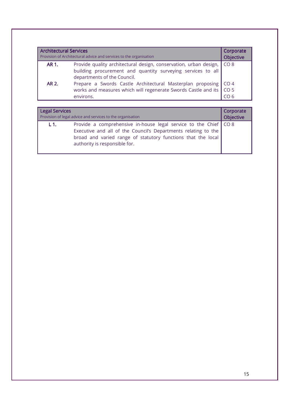| <b>Architectural Services</b><br>Provision of Architectural advice and services to the organisation |                                                                                                                                                                 | Corporate<br><b>Objective</b> |
|-----------------------------------------------------------------------------------------------------|-----------------------------------------------------------------------------------------------------------------------------------------------------------------|-------------------------------|
| AR 1.                                                                                               | Provide quality architectural design, conservation, urban design,<br>building procurement and quantity surveying services to all<br>departments of the Council. | $\big $ CO 8                  |
| AR 2.                                                                                               | Prepare a Swords Castle Architectural Masterplan proposing CO 4<br>works and measures which will regenerate Swords Castle and its   CO 5<br>environs.           | CO 6                          |

| <b>Legal Services</b>                                      |                                                                                                                                                                                                                                       | Corporate |
|------------------------------------------------------------|---------------------------------------------------------------------------------------------------------------------------------------------------------------------------------------------------------------------------------------|-----------|
| Provision of legal advice and services to the organisation |                                                                                                                                                                                                                                       | Objective |
| $-L1.$                                                     | Provide a comprehensive in-house legal service to the Chief   CO 8<br>Executive and all of the Council's Departments relating to the<br>broad and varied range of statutory functions that the local<br>authority is responsible for. |           |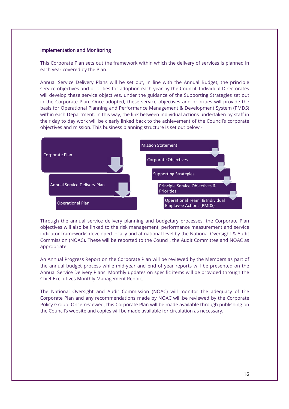## Implementation and Monitoring

This Corporate Plan sets out the framework within which the delivery of services is planned in each year covered by the Plan.

Annual Service Delivery Plans will be set out, in line with the Annual Budget, the principle service objectives and priorities for adoption each year by the Council. Individual Directorates will develop these service objectives, under the guidance of the Supporting Strategies set out in the Corporate Plan. Once adopted, these service objectives and priorities will provide the basis for Operational Planning and Performance Management & Development System (PMDS) within each Department. In this way, the link between individual actions undertaken by staff in their day to day work will be clearly linked back to the achievement of the Council's corporate objectives and mission. This business planning structure is set out below -



Through the annual service delivery planning and budgetary processes, the Corporate Plan objectives will also be linked to the risk management, performance measurement and service indicator frameworks developed locally and at national level by the National Oversight & Audit Commission (NOAC). These will be reported to the Council, the Audit Committee and NOAC as appropriate.

An Annual Progress Report on the Corporate Plan will be reviewed by the Members as part of the annual budget process while mid-year and end of year reports will be presented on the Annual Service Delivery Plans. Monthly updates on specific items will be provided through the Chief Executives Monthly Management Report.

The National Oversight and Audit Commission (NOAC) will monitor the adequacy of the Corporate Plan and any recommendations made by NOAC will be reviewed by the Corporate Policy Group. Once reviewed, this Corporate Plan will be made available through publishing on the Council's website and copies will be made available for circulation as necessary.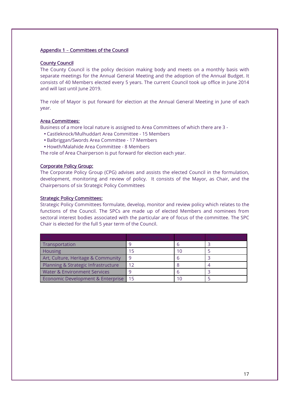## Appendix 1 - Committees of the Council

## County Council

The County Council is the policy decision making body and meets on a monthly basis with separate meetings for the Annual General Meeting and the adoption of the Annual Budget. It consists of 40 Members elected every 5 years. The current Council took up office in June 2014 and will last until June 2019.

The role of Mayor is put forward for election at the Annual General Meeting in June of each year.

## Area Committees:

Business of a more local nature is assigned to Area Committees of which there are 3 -

- Castleknock/Mulhuddart Area Committee 15 Members
- Balbriggan/Swords Area Committee 17 Members
- Howth/Malahide Area Committee 8 Members

The role of Area Chairperson is put forward for election each year.

## Corporate Policy Group:

The Corporate Policy Group (CPG) advises and assists the elected Council in the formulation, development, monitoring and review of policy. It consists of the Mayor, as Chair, and the Chairpersons of six Strategic Policy Committees

### Strategic Policy Committees:

Strategic Policy Committees formulate, develop, monitor and review policy which relates to the functions of the Council. The SPCs are made up of elected Members and nominees from sectoral interest bodies associated with the particular are of focus of the committee. The SPC Chair is elected for the full 5 year term of the Council.

| Transportation                          |    |     |  |
|-----------------------------------------|----|-----|--|
| Housing                                 |    | 1 C |  |
| Art, Culture, Heritage & Community      | 9  |     |  |
| Planning & Strategic Infrastructure     | 12 |     |  |
| <b>Water &amp; Environment Services</b> |    |     |  |
| Economic Development & Enterprise       |    |     |  |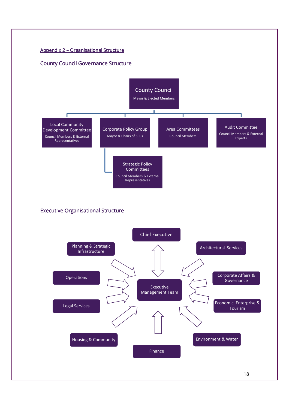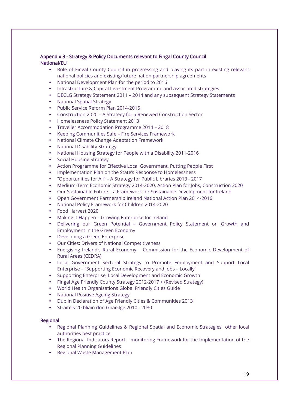## Appendix 3 - Strategy & Policy Documents relevant to Fingal County Council National/EU

- Role of Fingal County Council in progressing and playing its part in existing relevant national policies and existing/future nation partnership agreements
- National Development Plan for the period to 2016
- Infrastructure & Capital Investment Programme and associated strategies
- DECLG Strategy Statement 2011 2014 and any subsequent Strategy Statements
- National Spatial Strategy
- Public Service Reform Plan 2014-2016
- Construction 2020 A Strategy for a Renewed Construction Sector
- Homelessness Policy Statement 2013
- Traveller Accommodation Programme 2014 2018
- Keeping Communities Safe Fire Services Framework
- National Climate Change Adaptation Framework
- National Disability Strategy
- National Housing Strategy for People with a Disability 2011-2016
- Social Housing Strategy
- Action Programme for Effective Local Government, Putting People First
- Implementation Plan on the State's Response to Homelessness
- "Opportunities for All" A Strategy for Public Libraries 2013 2017
- Medium-Term Economic Strategy 2014-2020, Action Plan for Jobs, Construction 2020
- Our Sustainable Future a Framework for Sustainable Development for Ireland
- Open Government Partnership Ireland National Action Plan 2014-2016
- National Policy Framework for Children 2014-2020
- Food Harvest 2020
- Making it Happen Growing Enterprise for Ireland
- Delivering our Green Potential Government Policy Statement on Growth and Employment in the Green Economy
- Developing a Green Enterprise
- Our Cities: Drivers of National Competitiveness
- Energising Ireland's Rural Economy Commission for the Economic Development of Rural Areas (CEDRA)
- Local Government Sectoral Strategy to Promote Employment and Support Local Enterprise – "Supporting Economic Recovery and Jobs – Locally"
- Supporting Enterprise, Local Development and Economic Growth
- Fingal Age Friendly County Strategy 2012-2017 + (Revised Strategy)
- World Health Organisations Global Friendly Cities Guide
- National Positive Ageing Strategy
- Dublin Declaration of Age Friendly Cities & Communities 2013
- Straiteis 20 bliain don Ghaeilge 2010 2030

## **Regional**

- Regional Planning Guidelines & Regional Spatial and Economic Strategies other local authorities best practice
- The Regional Indicators Report monitoring Framework for the Implementation of the Regional Planning Guidelines
- Regional Waste Management Plan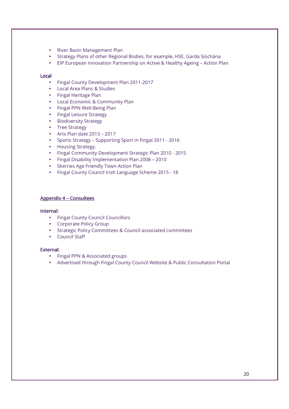- River Basin Management Plan
- Strategy Plans of other Regional Bodies, for example, HSE, Garda Síochána
- EIP European Innovation Partnership on Active & Healthy Ageing Action Plan

## Local

- Fingal County Development Plan 2011-2017
- Local Area Plans & Studies
- Fingal Heritage Plan
- Local Economic & Community Plan
- Fingal PPN Well-Being Plan
- Fingal Leisure Strategy
- Biodiversity Strategy
- Tree Strategy
- Arts Plan date 2013 2017
- Sports Strategy Supporting Sport in Fingal 2011 2016
- Housing Strategy.
- Fingal Community Development Strategic Plan 2010 2015
- Fingal Disability Implementation Plan 2008 2010
- Skerries Age Friendly Town Action Plan
- Fingal County Council Irish Language Scheme 2015 18

## Appendix 4 - Consultees

### Internal: Internal:

- Fingal County Council Councillors
- Corporate Policy Group
- Strategic Policy Committees & Council associated committees
- Council Staff

## External: External:

- Fingal PPN & Associated groups
- Advertised through Fingal County Council Website & Public Consultation Portal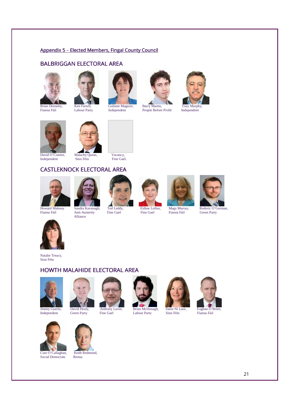## Appendix 5 - Elected Members, Fingal County Council

# BALBRIGGAN ELECTORAL AREA



















David O'Connor, Malachy Quinn, Vacancy, Independent Sinn Féin Fine Gael. Independent



# CASTLEKNOCK ELECTORAL AREA











Alliance

Natalie Treacy, Sinn Féin

# HOWTH MALAHIDE ELECTORAL AREA









Jimmy Guerin, David Healy, Anthony Lavin, Brian McDonagh, Daire Ní Laoi, Eoghan O'Brien, Labour Party





Social Democrats Renua

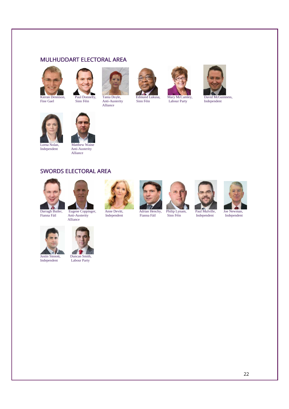# MULHUDDART ELECTORAL AREA





Fine Gael Sinn Féin Anti-Austerity Sinn Féin Labour Party Independent **Alliance** 







Lorna Nolan, Matthew Waine<br>Independent Anti-Austerity Anti-Austerity Alliance





Fianna Fáil Anti-Australia<br>Anti-Australia<br>Sinn Fáil I



Alliance











**Justin Sinnott, Duncan Smith,<br>Independent Labour Party** 



Labour Party